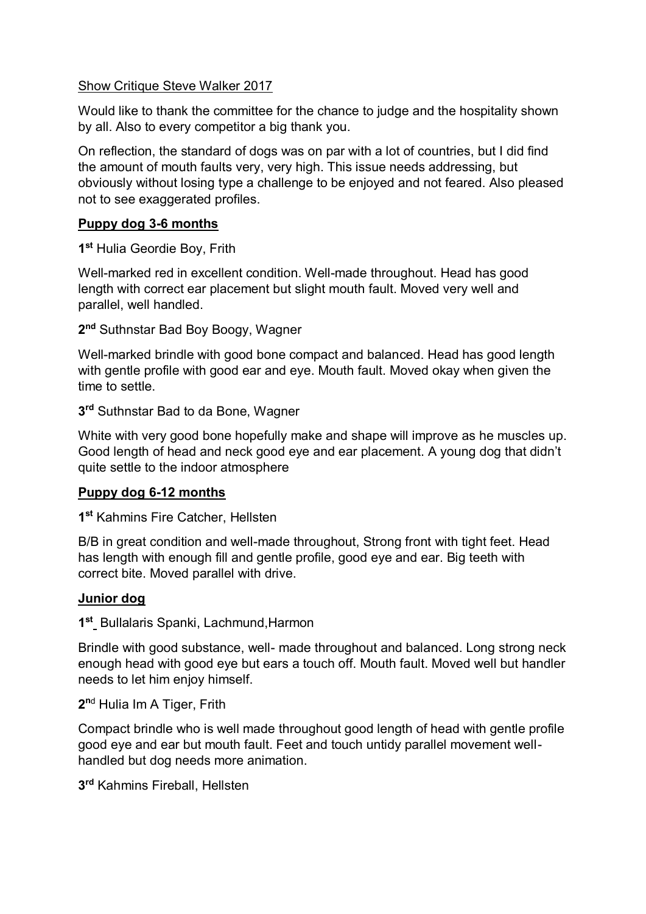#### Show Critique Steve Walker 2017

Would like to thank the committee for the chance to judge and the hospitality shown by all. Also to every competitor a big thank you.

On reflection, the standard of dogs was on par with a lot of countries, but I did find the amount of mouth faults very, very high. This issue needs addressing, but obviously without losing type a challenge to be enjoyed and not feared. Also pleased not to see exaggerated profiles.

# **Puppy dog 3-6 months**

**1 st** Hulia Geordie Boy, Frith

Well-marked red in excellent condition. Well-made throughout. Head has good length with correct ear placement but slight mouth fault. Moved very well and parallel, well handled.

**2 nd** Suthnstar Bad Boy Boogy, Wagner

Well-marked brindle with good bone compact and balanced. Head has good length with gentle profile with good ear and eye. Mouth fault. Moved okay when given the time to settle.

**3 rd** Suthnstar Bad to da Bone, Wagner

White with very good bone hopefully make and shape will improve as he muscles up. Good length of head and neck good eye and ear placement. A young dog that didn't quite settle to the indoor atmosphere

# **Puppy dog 6-12 months**

**1 st** Kahmins Fire Catcher, Hellsten

B/B in great condition and well-made throughout, Strong front with tight feet. Head has length with enough fill and gentle profile, good eye and ear. Big teeth with correct bite. Moved parallel with drive.

# **Junior dog**

**1 st** Bullalaris Spanki, Lachmund,Harmon

Brindle with good substance, well- made throughout and balanced. Long strong neck enough head with good eye but ears a touch off. Mouth fault. Moved well but handler needs to let him enjoy himself.

**2 <sup>n</sup>**<sup>d</sup> Hulia Im A Tiger, Frith

Compact brindle who is well made throughout good length of head with gentle profile good eye and ear but mouth fault. Feet and touch untidy parallel movement wellhandled but dog needs more animation.

**3 rd** Kahmins Fireball, Hellsten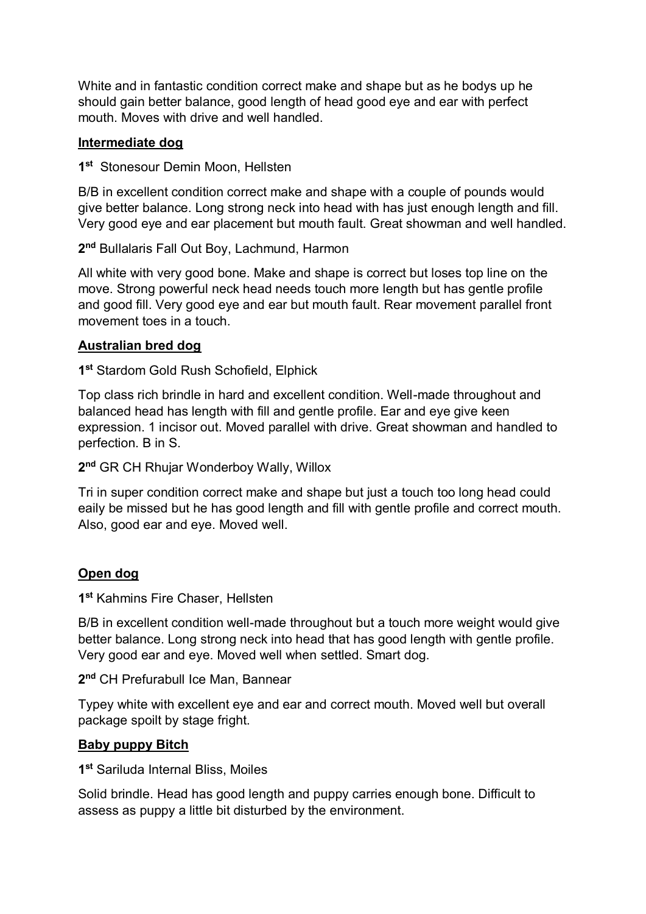White and in fantastic condition correct make and shape but as he bodys up he should gain better balance, good length of head good eye and ear with perfect mouth. Moves with drive and well handled.

### **Intermediate dog**

**1 st** Stonesour Demin Moon, Hellsten

B/B in excellent condition correct make and shape with a couple of pounds would give better balance. Long strong neck into head with has just enough length and fill. Very good eye and ear placement but mouth fault. Great showman and well handled.

**2 nd** Bullalaris Fall Out Boy, Lachmund, Harmon

All white with very good bone. Make and shape is correct but loses top line on the move. Strong powerful neck head needs touch more length but has gentle profile and good fill. Very good eye and ear but mouth fault. Rear movement parallel front movement toes in a touch.

### **Australian bred dog**

**1 st** Stardom Gold Rush Schofield, Elphick

Top class rich brindle in hard and excellent condition. Well-made throughout and balanced head has length with fill and gentle profile. Ear and eye give keen expression. 1 incisor out. Moved parallel with drive. Great showman and handled to perfection. B in S.

**2 nd** GR CH Rhujar Wonderboy Wally, Willox

Tri in super condition correct make and shape but just a touch too long head could eaily be missed but he has good length and fill with gentle profile and correct mouth. Also, good ear and eye. Moved well.

# **Open dog**

**1 st** Kahmins Fire Chaser, Hellsten

B/B in excellent condition well-made throughout but a touch more weight would give better balance. Long strong neck into head that has good length with gentle profile. Very good ear and eye. Moved well when settled. Smart dog.

**2 nd** CH Prefurabull Ice Man, Bannear

Typey white with excellent eye and ear and correct mouth. Moved well but overall package spoilt by stage fright.

# **Baby puppy Bitch**

**1 st** Sariluda Internal Bliss, Moiles

Solid brindle. Head has good length and puppy carries enough bone. Difficult to assess as puppy a little bit disturbed by the environment.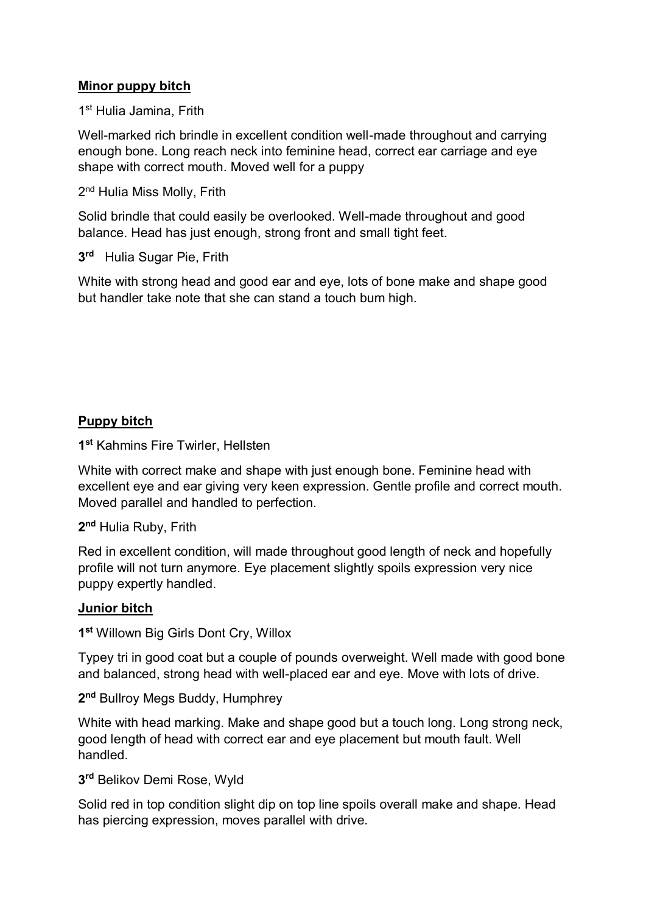### **Minor puppy bitch**

1<sup>st</sup> Hulia Jamina, Frith

Well-marked rich brindle in excellent condition well-made throughout and carrying enough bone. Long reach neck into feminine head, correct ear carriage and eye shape with correct mouth. Moved well for a puppy

2<sup>nd</sup> Hulia Miss Molly, Frith

Solid brindle that could easily be overlooked. Well-made throughout and good balance. Head has just enough, strong front and small tight feet.

**3 rd** Hulia Sugar Pie, Frith

White with strong head and good ear and eye, lots of bone make and shape good but handler take note that she can stand a touch bum high.

### **Puppy bitch**

**1 st** Kahmins Fire Twirler, Hellsten

White with correct make and shape with just enough bone. Feminine head with excellent eye and ear giving very keen expression. Gentle profile and correct mouth. Moved parallel and handled to perfection.

**2 nd** Hulia Ruby, Frith

Red in excellent condition, will made throughout good length of neck and hopefully profile will not turn anymore. Eye placement slightly spoils expression very nice puppy expertly handled.

#### **Junior bitch**

**1 st** Willown Big Girls Dont Cry, Willox

Typey tri in good coat but a couple of pounds overweight. Well made with good bone and balanced, strong head with well-placed ear and eye. Move with lots of drive.

**2 nd** Bullroy Megs Buddy, Humphrey

White with head marking. Make and shape good but a touch long. Long strong neck, good length of head with correct ear and eye placement but mouth fault. Well handled.

**3 rd** Belikov Demi Rose, Wyld

Solid red in top condition slight dip on top line spoils overall make and shape. Head has piercing expression, moves parallel with drive.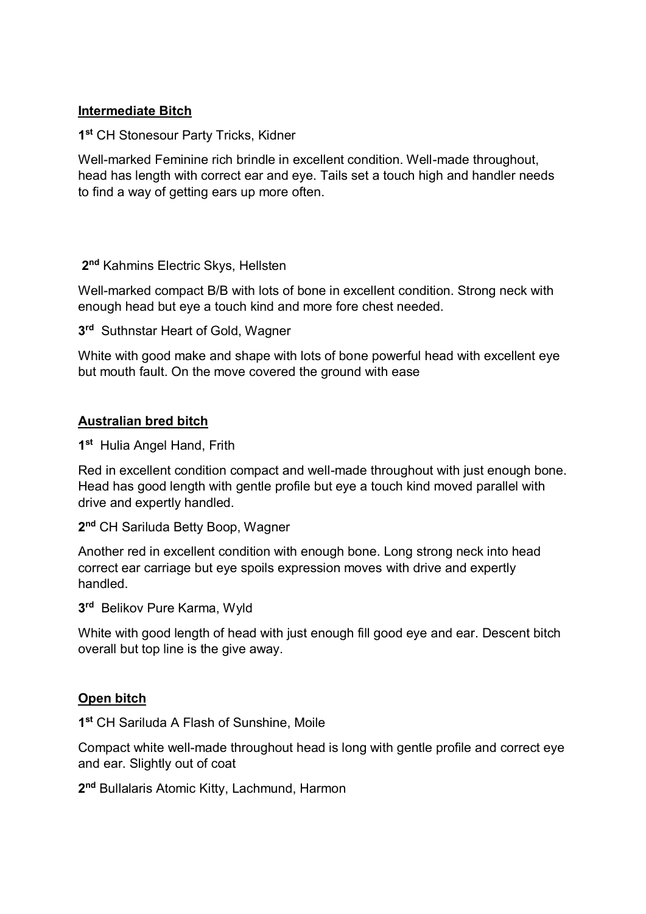### **Intermediate Bitch**

**1 st** CH Stonesour Party Tricks, Kidner

Well-marked Feminine rich brindle in excellent condition. Well-made throughout, head has length with correct ear and eye. Tails set a touch high and handler needs to find a way of getting ears up more often.

**2 nd** Kahmins Electric Skys, Hellsten

Well-marked compact B/B with lots of bone in excellent condition. Strong neck with enough head but eye a touch kind and more fore chest needed.

**3 rd** Suthnstar Heart of Gold, Wagner

White with good make and shape with lots of bone powerful head with excellent eye but mouth fault. On the move covered the ground with ease

#### **Australian bred bitch**

**1 st** Hulia Angel Hand, Frith

Red in excellent condition compact and well-made throughout with just enough bone. Head has good length with gentle profile but eye a touch kind moved parallel with drive and expertly handled.

**2 nd** CH Sariluda Betty Boop, Wagner

Another red in excellent condition with enough bone. Long strong neck into head correct ear carriage but eye spoils expression moves with drive and expertly handled.

**3 rd** Belikov Pure Karma, Wyld

White with good length of head with just enough fill good eye and ear. Descent bitch overall but top line is the give away.

#### **Open bitch**

**1 st** CH Sariluda A Flash of Sunshine, Moile

Compact white well-made throughout head is long with gentle profile and correct eye and ear. Slightly out of coat

**2 nd** Bullalaris Atomic Kitty, Lachmund, Harmon